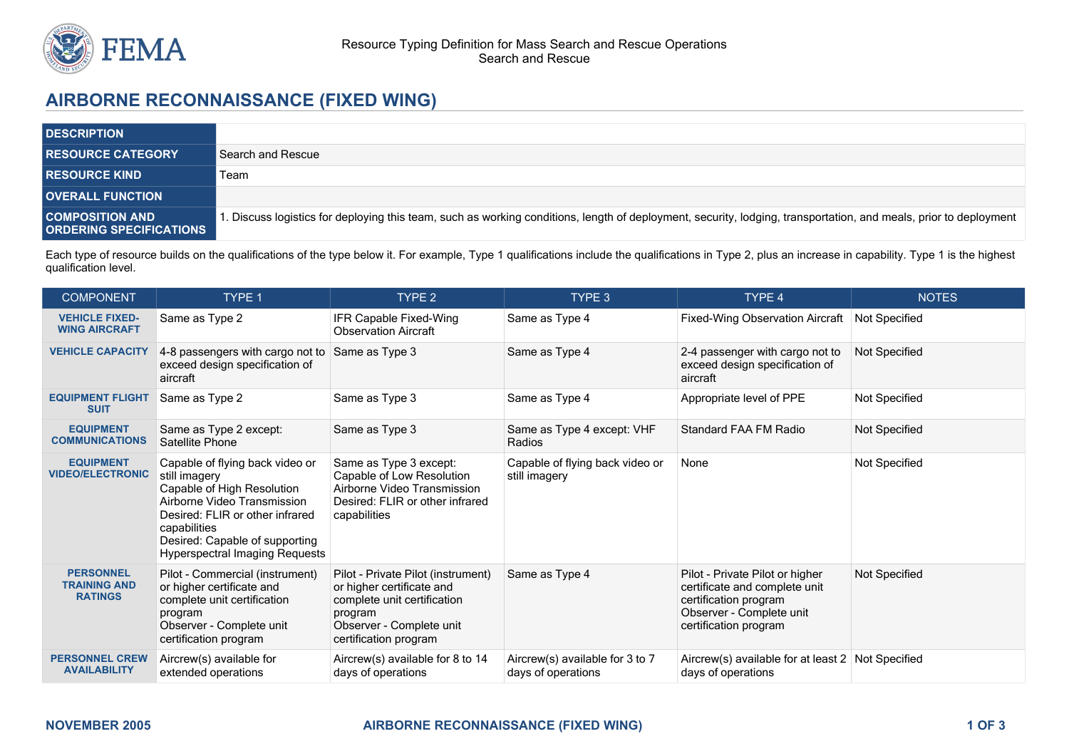

## **AIRBORNE RECONNAISSANCE (FIXED WING)**

| <b>DESCRIPTION</b>                                       |                                                                                                                                                                  |
|----------------------------------------------------------|------------------------------------------------------------------------------------------------------------------------------------------------------------------|
| <b>RESOURCE CATEGORY</b>                                 | Search and Rescue                                                                                                                                                |
| <b>RESOURCE KIND</b>                                     | Team                                                                                                                                                             |
| <b>OVERALL FUNCTION</b>                                  |                                                                                                                                                                  |
| <b>COMPOSITION AND</b><br><b>ORDERING SPECIFICATIONS</b> | . Discuss logistics for deploying this team, such as working conditions, length of deployment, security, lodging, transportation, and meals, prior to deployment |

Each type of resource builds on the qualifications of the type below it. For example, Type 1 qualifications include the qualifications in Type 2, plus an increase in capability. Type 1 is the highest qualification level.

| <b>COMPONENT</b>                                          | TYPE 1                                                                                                                                                                                                                                      | TYPE <sub>2</sub>                                                                                                                                              | TYPE 3                                                | TYPE 4                                                                                                                                         | <b>NOTES</b>  |
|-----------------------------------------------------------|---------------------------------------------------------------------------------------------------------------------------------------------------------------------------------------------------------------------------------------------|----------------------------------------------------------------------------------------------------------------------------------------------------------------|-------------------------------------------------------|------------------------------------------------------------------------------------------------------------------------------------------------|---------------|
| <b>VEHICLE FIXED-</b><br><b>WING AIRCRAFT</b>             | Same as Type 2                                                                                                                                                                                                                              | IFR Capable Fixed-Wing<br><b>Observation Aircraft</b>                                                                                                          | Same as Type 4                                        | <b>Fixed-Wing Observation Aircraft</b>                                                                                                         | Not Specified |
| <b>VEHICLE CAPACITY</b>                                   | 4-8 passengers with cargo not to<br>exceed design specification of<br>aircraft                                                                                                                                                              | Same as Type 3                                                                                                                                                 | Same as Type 4                                        | 2-4 passenger with cargo not to<br>exceed design specification of<br>aircraft                                                                  | Not Specified |
| <b>EQUIPMENT FLIGHT</b><br><b>SUIT</b>                    | Same as Type 2                                                                                                                                                                                                                              | Same as Type 3                                                                                                                                                 | Same as Type 4                                        | Appropriate level of PPE                                                                                                                       | Not Specified |
| <b>EQUIPMENT</b><br><b>COMMUNICATIONS</b>                 | Same as Type 2 except:<br>Satellite Phone                                                                                                                                                                                                   | Same as Type 3                                                                                                                                                 | Same as Type 4 except: VHF<br>Radios                  | <b>Standard FAA FM Radio</b>                                                                                                                   | Not Specified |
| <b>EQUIPMENT</b><br><b>VIDEO/ELECTRONIC</b>               | Capable of flying back video or<br>still imagery<br>Capable of High Resolution<br>Airborne Video Transmission<br>Desired: FLIR or other infrared<br>capabilities<br>Desired: Capable of supporting<br><b>Hyperspectral Imaging Requests</b> | Same as Type 3 except:<br>Capable of Low Resolution<br>Airborne Video Transmission<br>Desired: FLIR or other infrared<br>capabilities                          | Capable of flying back video or<br>still imagery      | None                                                                                                                                           | Not Specified |
| <b>PERSONNEL</b><br><b>TRAINING AND</b><br><b>RATINGS</b> | Pilot - Commercial (instrument)<br>or higher certificate and<br>complete unit certification<br>program<br>Observer - Complete unit<br>certification program                                                                                 | Pilot - Private Pilot (instrument)<br>or higher certificate and<br>complete unit certification<br>program<br>Observer - Complete unit<br>certification program | Same as Type 4                                        | Pilot - Private Pilot or higher<br>certificate and complete unit<br>certification program<br>Observer - Complete unit<br>certification program | Not Specified |
| <b>PERSONNEL CREW</b><br><b>AVAILABILITY</b>              | Aircrew(s) available for<br>extended operations                                                                                                                                                                                             | Aircrew(s) available for 8 to 14<br>days of operations                                                                                                         | Aircrew(s) available for 3 to 7<br>days of operations | Aircrew(s) available for at least 2 Not Specified<br>days of operations                                                                        |               |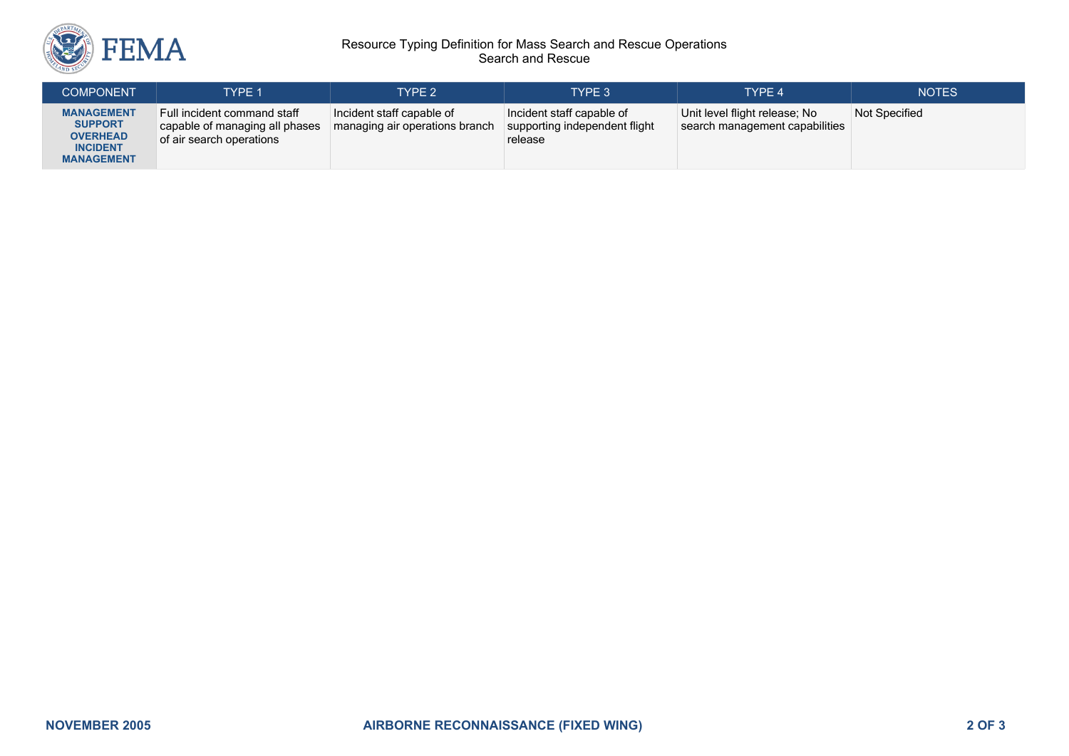

## Resource Typing Definition for Mass Search and Rescue Operations Search and Rescue

| <b>COMPONENT</b>                                                                               | TYPF 1                                                                                    | TYPE 2                                                      | <b>TYPE 3</b>                                                         | TYPE 4                                                          | <b>NOTES</b>  |
|------------------------------------------------------------------------------------------------|-------------------------------------------------------------------------------------------|-------------------------------------------------------------|-----------------------------------------------------------------------|-----------------------------------------------------------------|---------------|
| <b>MANAGEMENT</b><br><b>SUPPORT</b><br><b>OVERHEAD</b><br><b>INCIDENT</b><br><b>MANAGEMENT</b> | Full incident command staff<br>capable of managing all phases<br>of air search operations | Incident staff capable of<br>managing air operations branch | Incident staff capable of<br>supporting independent flight<br>release | Unit level flight release; No<br>search management capabilities | Not Specified |